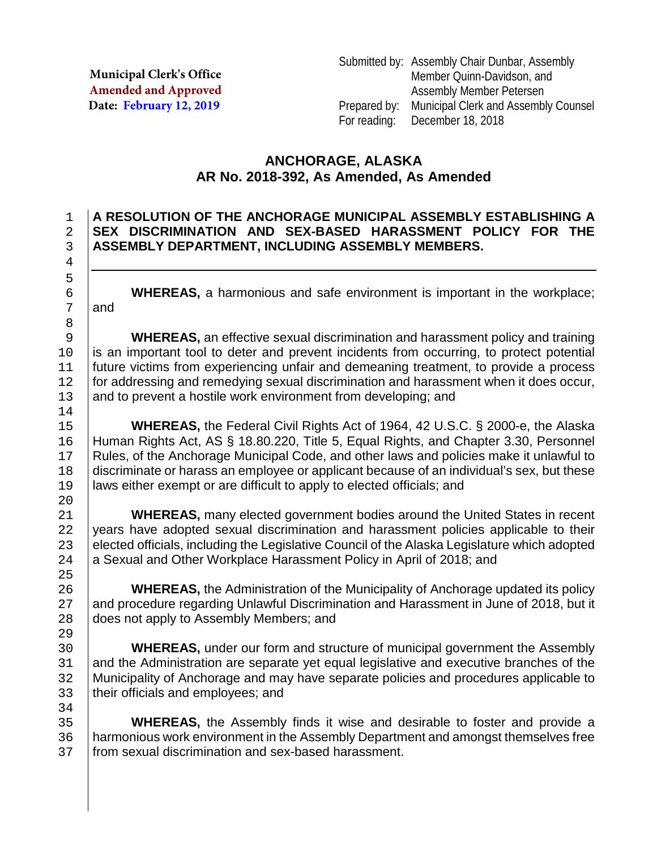**Municipal Clerk's Office Amended and Approved Date: February 12, 2019**

# **ANCHORAGE, ALASKA AR No. 2018-392, As Amended, As Amended**

### 1 **A RESOLUTION OF THE ANCHORAGE MUNICIPAL ASSEMBLY ESTABLISHING A**  2 **SEX DISCRIMINATION AND SEX-BASED HARASSMENT POLICY FOR THE**  3 **ASSEMBLY DEPARTMENT, INCLUDING ASSEMBLY MEMBERS.**

6 **WHEREAS,** a harmonious and safe environment is important in the workplace;<br>7 and and

9 **WHEREAS**, an effective sexual discrimination and harassment policy and training<br>is an important tool to deter and prevent incidents from occurring, to protect potential 10 is an important tool to deter and prevent incidents from occurring, to protect potential<br>11 future victims from experiencing unfair and demeaning treatment, to provide a process future victims from experiencing unfair and demeaning treatment, to provide a process 12 for addressing and remedying sexual discrimination and harassment when it does occur,<br>13 and to prevent a hostile work environment from developing: and and to prevent a hostile work environment from developing; and

15 **WHEREAS,** the Federal Civil Rights Act of 1964, 42 U.S.C. § 2000-e, the Alaska<br>16 Human Rights Act, AS § 18.80.220, Title 5, Equal Rights, and Chapter 3.30, Personnel 16 Human Rights Act, AS § 18.80.220, Title 5, Equal Rights, and Chapter 3.30, Personnel<br>17 Rules, of the Anchorage Municipal Code, and other laws and policies make it unlawful to 17 | Rules, of the Anchorage Municipal Code, and other laws and policies make it unlawful to discriminate or harass an employee or applicant because of an individual's sex, but these 18 discriminate or harass an employee or applicant because of an individual's sex, but these<br>19 daws either exempt or are difficult to apply to elected officials: and laws either exempt or are difficult to apply to elected officials; and

**WHEREAS,** many elected government bodies around the United States in recent 22 vears have adopted sexual discrimination and harassment policies applicable to their 22 years have adopted sexual discrimination and harassment policies applicable to their<br>23 elected officials, including the Legislative Council of the Alaska Legislature which adopted 23 elected officials, including the Legislative Council of the Alaska Legislature which adopted<br>24 a Sexual and Other Workplace Harassment Policy in April of 2018; and a Sexual and Other Workplace Harassment Policy in April of 2018; and

26 **WHEREAS**, the Administration of the Municipality of Anchorage updated its policy<br>27 and procedure regarding Unlawful Discrimination and Harassment in June of 2018, but it 27 and procedure regarding Unlawful Discrimination and Harassment in June of 2018, but it <br>28 does not apply to Assembly Members; and does not apply to Assembly Members; and

**WHEREAS,** under our form and structure of municipal government the Assembly<br>31 and the Administration are separate vet equal legislative and executive branches of the 31 and the Administration are separate yet equal legislative and executive branches of the 32 Municipality of Anchorage and may have separate policies and procedures applicable to 32 SMunicipality of Anchorage and may have separate policies and procedures applicable to 1<br>33 SH their officials and emplovees: and their officials and employees; and

34<br>35 35 **WHEREAS**, the Assembly finds it wise and desirable to foster and provide a<br>36 harmonious work environment in the Assembly Department and amongst themselves free 36 harmonious work environment in the Assembly Department and amongst themselves free<br>37 from sexual discrimination and sex-based harassment. from sexual discrimination and sex-based harassment.

5 8<br>9  $\frac{14}{15}$ 20<br>21

 $\frac{25}{26}$ 

29<br>30

4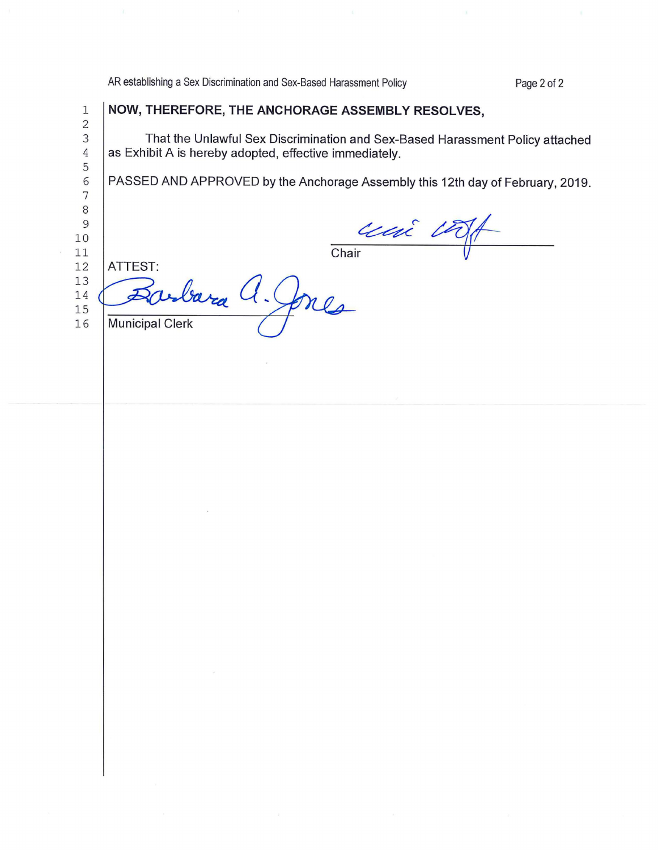AR establishing a Sex Discrimination and Sex-Based Harassment Policy

1 **NOW, THEREFORE, THE ANCHORAGE ASSEMBLY RESOLVES,** 

Page 2 of 2

14

 $15$ 

16

3 That the Unlawful Sex Discrimination and Sex-Based Harassment Policy attached<br>4 as Exhibit A is hereby adopted, effective immediately. as Exhibit A is hereby adopted, effective immediately. 6 PASSED AND APPROVED by the Anchorage Assembly this 12th day of February, 2019. Chair L'A ATTEST:

 $U_{\cdot}$ ones **Municipal Clerk**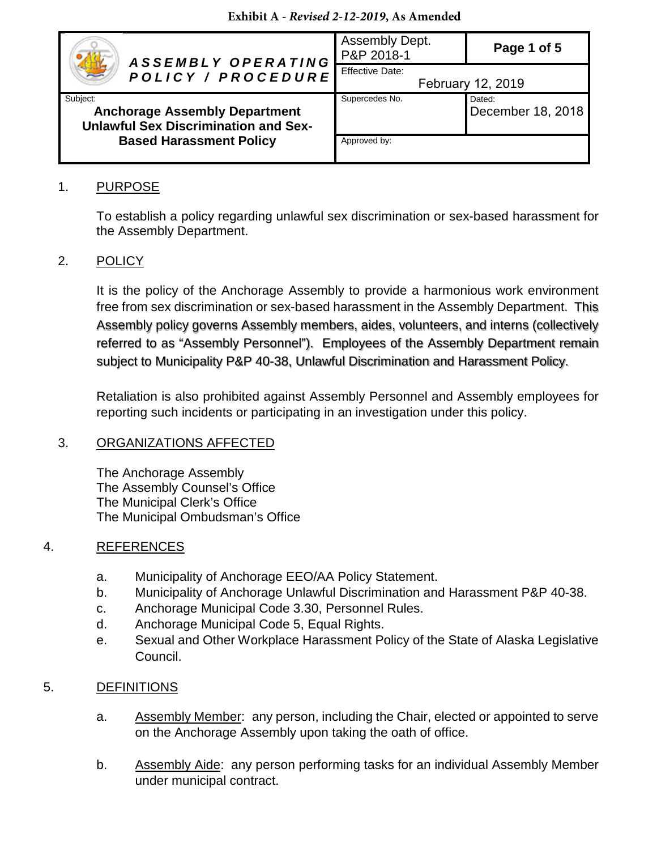#### **Exhibit A -** *Revised 2-12-2019***, As Amended**

| ASSEMBLY OPERATING<br>POLICY / PROCEDURE                                                        | Assembly Dept.<br>P&P 2018-1                | Page 1 of 5                 |
|-------------------------------------------------------------------------------------------------|---------------------------------------------|-----------------------------|
|                                                                                                 | <b>Effective Date:</b><br>February 12, 2019 |                             |
| Subject:<br><b>Anchorage Assembly Department</b><br><b>Unlawful Sex Discrimination and Sex-</b> | Supercedes No.                              | Dated:<br>December 18, 2018 |
| <b>Based Harassment Policy</b>                                                                  | Approved by:                                |                             |

#### 1. PURPOSE

To establish a policy regarding unlawful sex discrimination or sex-based harassment for the Assembly Department.

### 2. POLICY

It is the policy of the Anchorage Assembly to provide a harmonious work environment free from sex discrimination or sex-based harassment in the Assembly Department. This Assembly policy governs Assembly members, aides, volunteers, and interns (collectively Assembly policy governs Assembly members, aides, volunteers, and interns (collectively referred to as "Assembly Personnel"). Employees of the Assembly Department remain referred to as "Assembly Personnel"). Employees of the Assembly Department remain subject to Municipality P&P 40-38, Unlawful Discrimination and Harassment Policy. subject to Municipality P&P 40-38, Unlawful Discrimination and Harassment Policy.

Retaliation is also prohibited against Assembly Personnel and Assembly employees for reporting such incidents or participating in an investigation under this policy.

#### 3. ORGANIZATIONS AFFECTED

The Anchorage Assembly The Assembly Counsel's Office The Municipal Clerk's Office The Municipal Ombudsman's Office

#### 4. REFERENCES

- a. Municipality of Anchorage EEO/AA Policy Statement.
- b. Municipality of Anchorage Unlawful Discrimination and Harassment P&P 40-38.
- c. Anchorage Municipal Code 3.30, Personnel Rules.
- d. Anchorage Municipal Code 5, Equal Rights.
- e. Sexual and Other Workplace Harassment Policy of the State of Alaska Legislative Council.

#### 5. DEFINITIONS

- a. Assembly Member: any person, including the Chair, elected or appointed to serve on the Anchorage Assembly upon taking the oath of office.
- b. Assembly Aide: any person performing tasks for an individual Assembly Member under municipal contract.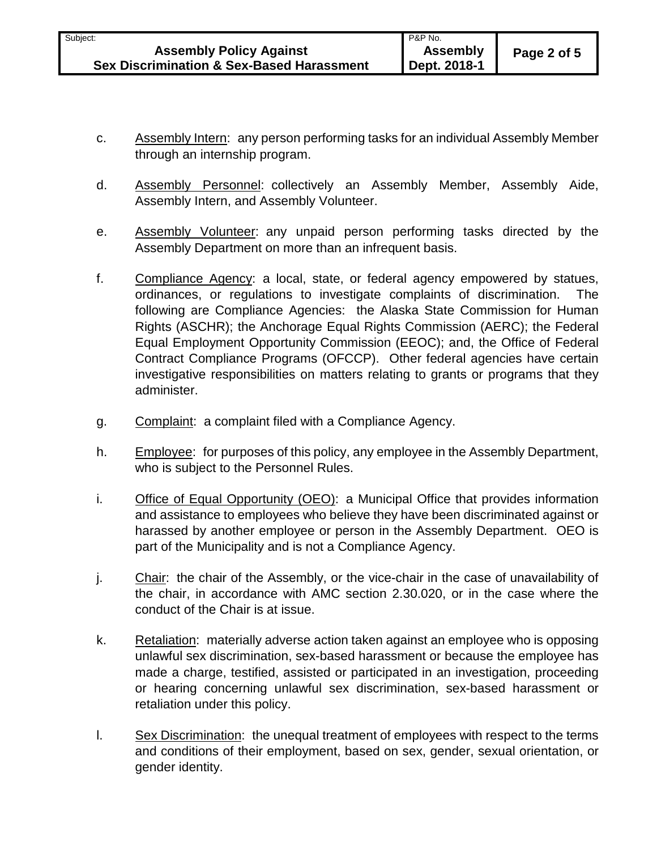- c. Assembly Intern: any person performing tasks for an individual Assembly Member through an internship program.
- d. Assembly Personnel: collectively an Assembly Member, Assembly Aide, Assembly Intern, and Assembly Volunteer.
- e. Assembly Volunteer: any unpaid person performing tasks directed by the Assembly Department on more than an infrequent basis.
- f. Compliance Agency: a local, state, or federal agency empowered by statues, ordinances, or regulations to investigate complaints of discrimination. The following are Compliance Agencies: the Alaska State Commission for Human Rights (ASCHR); the Anchorage Equal Rights Commission (AERC); the Federal Equal Employment Opportunity Commission (EEOC); and, the Office of Federal Contract Compliance Programs (OFCCP). Other federal agencies have certain investigative responsibilities on matters relating to grants or programs that they administer.
- g. Complaint: a complaint filed with a Compliance Agency.
- h. Employee: for purposes of this policy, any employee in the Assembly Department, who is subject to the Personnel Rules.
- i. Office of Equal Opportunity (OEO): a Municipal Office that provides information and assistance to employees who believe they have been discriminated against or harassed by another employee or person in the Assembly Department. OEO is part of the Municipality and is not a Compliance Agency.
- j. Chair: the chair of the Assembly, or the vice-chair in the case of unavailability of the chair, in accordance with AMC section 2.30.020, or in the case where the conduct of the Chair is at issue.
- k. Retaliation: materially adverse action taken against an employee who is opposing unlawful sex discrimination, sex-based harassment or because the employee has made a charge, testified, assisted or participated in an investigation, proceeding or hearing concerning unlawful sex discrimination, sex-based harassment or retaliation under this policy.
- l. Sex Discrimination: the unequal treatment of employees with respect to the terms and conditions of their employment, based on sex, gender, sexual orientation, or gender identity.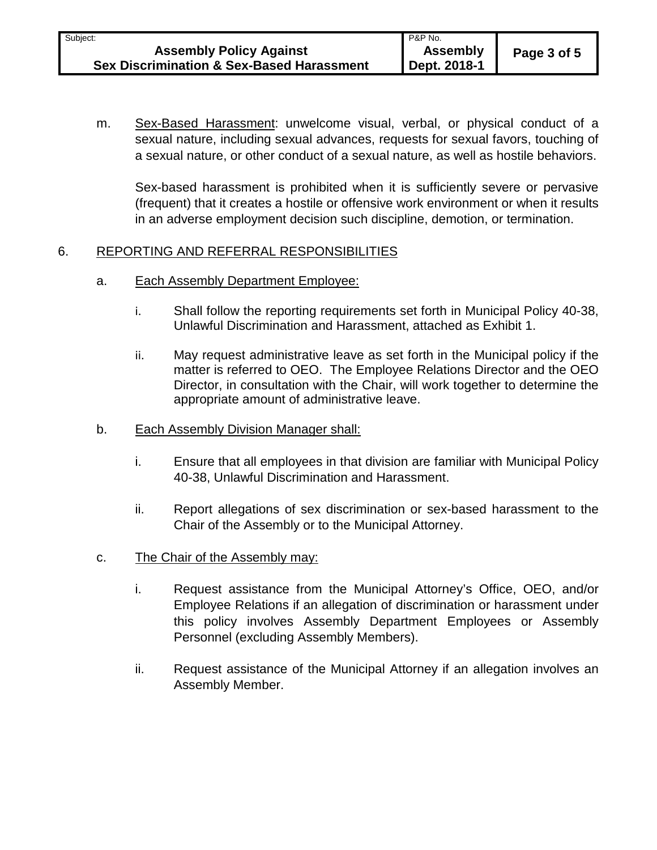m. Sex-Based Harassment: unwelcome visual, verbal, or physical conduct of a sexual nature, including sexual advances, requests for sexual favors, touching of a sexual nature, or other conduct of a sexual nature, as well as hostile behaviors.

Sex-based harassment is prohibited when it is sufficiently severe or pervasive (frequent) that it creates a hostile or offensive work environment or when it results in an adverse employment decision such discipline, demotion, or termination.

## 6. REPORTING AND REFERRAL RESPONSIBILITIES

- a. Each Assembly Department Employee:
	- i. Shall follow the reporting requirements set forth in Municipal Policy 40-38, Unlawful Discrimination and Harassment, attached as Exhibit 1.
	- ii. May request administrative leave as set forth in the Municipal policy if the matter is referred to OEO. The Employee Relations Director and the OEO Director, in consultation with the Chair, will work together to determine the appropriate amount of administrative leave.
- b. Each Assembly Division Manager shall:
	- i. Ensure that all employees in that division are familiar with Municipal Policy 40-38, Unlawful Discrimination and Harassment.
	- ii. Report allegations of sex discrimination or sex-based harassment to the Chair of the Assembly or to the Municipal Attorney.
- c. The Chair of the Assembly may:
	- i. Request assistance from the Municipal Attorney's Office, OEO, and/or Employee Relations if an allegation of discrimination or harassment under this policy involves Assembly Department Employees or Assembly Personnel (excluding Assembly Members).
	- ii. Request assistance of the Municipal Attorney if an allegation involves an Assembly Member.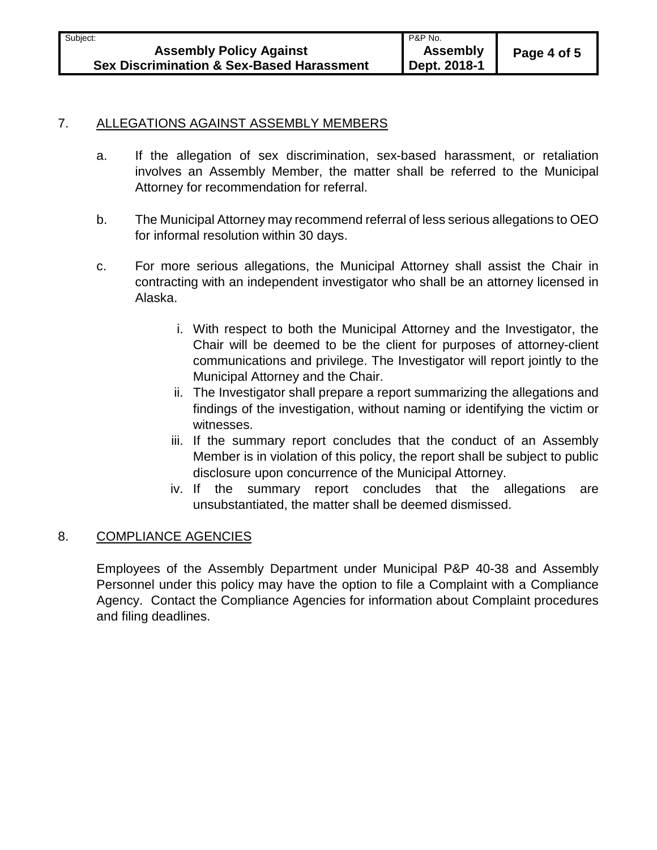#### 7. ALLEGATIONS AGAINST ASSEMBLY MEMBERS

- a. If the allegation of sex discrimination, sex-based harassment, or retaliation involves an Assembly Member, the matter shall be referred to the Municipal Attorney for recommendation for referral.
- b. The Municipal Attorney may recommend referral of less serious allegations to OEO for informal resolution within 30 days.
- c. For more serious allegations, the Municipal Attorney shall assist the Chair in contracting with an independent investigator who shall be an attorney licensed in Alaska.
	- i. With respect to both the Municipal Attorney and the Investigator, the Chair will be deemed to be the client for purposes of attorney-client communications and privilege. The Investigator will report jointly to the Municipal Attorney and the Chair.
	- ii. The Investigator shall prepare a report summarizing the allegations and findings of the investigation, without naming or identifying the victim or witnesses.
	- iii. If the summary report concludes that the conduct of an Assembly Member is in violation of this policy, the report shall be subject to public disclosure upon concurrence of the Municipal Attorney.
	- iv. If the summary report concludes that the allegations are unsubstantiated, the matter shall be deemed dismissed.

#### 8. COMPLIANCE AGENCIES

Employees of the Assembly Department under Municipal P&P 40-38 and Assembly Personnel under this policy may have the option to file a Complaint with a Compliance Agency. Contact the Compliance Agencies for information about Complaint procedures and filing deadlines.